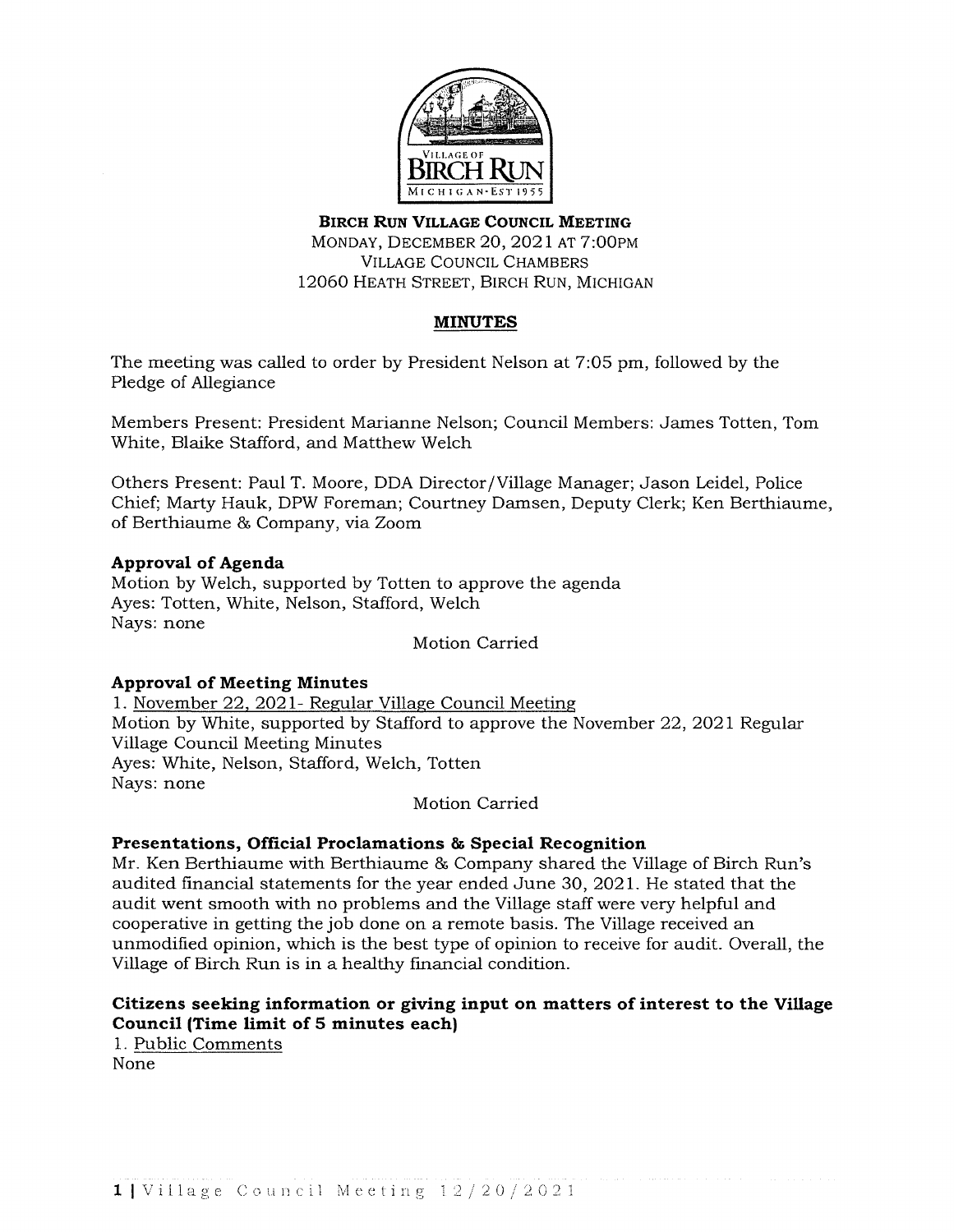

# **BIRCH RUN VILLAGE COUNCIL MEETING**  MONDAY, DECEMBER 20, 2021 AT 7:00PM VILLAGE COUNCIL CHAMBERS 12060 HEATH STREET, BIRCH RUN, MICHIGAN

# **MINUTES**

The meeting was called to order by President Nelson at 7:05 pm, followed by the Pledge of Allegiance

Members Present: President Marianne Nelson; Council Members: James Totten, Tom White, Blaike Stafford, and Matthew Welch

Others Present: Paul T. Moore, DOA Director /Village Manager; Jason Leidel, Police Chief; Marty Hauk, DPW Foreman; Courtney Damsen, Deputy Clerk; Ken Berthiaume, of Berthiaume & Company, via Zoom

## **Approval of Agenda**

Motion by Welch, supported by Totten to approve the agenda Ayes: Totten, White, Nelson, Stafford, Welch Nays: none

Motion Carried

## **Approval of Meeting Minutes**

1. November 22, 2021- Regular Village Council Meeting Motion by White, supported by Stafford to approve the November 22, 2021 Regular Village Council Meeting Minutes Ayes: White, Nelson, Stafford, Welch, Totten Nays: none

### Motion Carried

## **Presentations, Official Proclamations & Special Recognition**

Mr. Ken Berthiaume with Berthiaume & Company shared the Village of Birch Run's audited financial statements for the year ended June 30, 2021. He stated that the audit went smooth with no problems and the Village staff were very helpful and cooperative in getting the job done on a remote basis. The Village received an unmodified opinion, which is the best type of opinion to receive for audit. Overall, the Village of Birch Run is in a healthy financial condition.

## **Citizens seeking information or giving input on matters of interest to the Village Council (Time limit of 5 minutes each)**

1. Public Comments None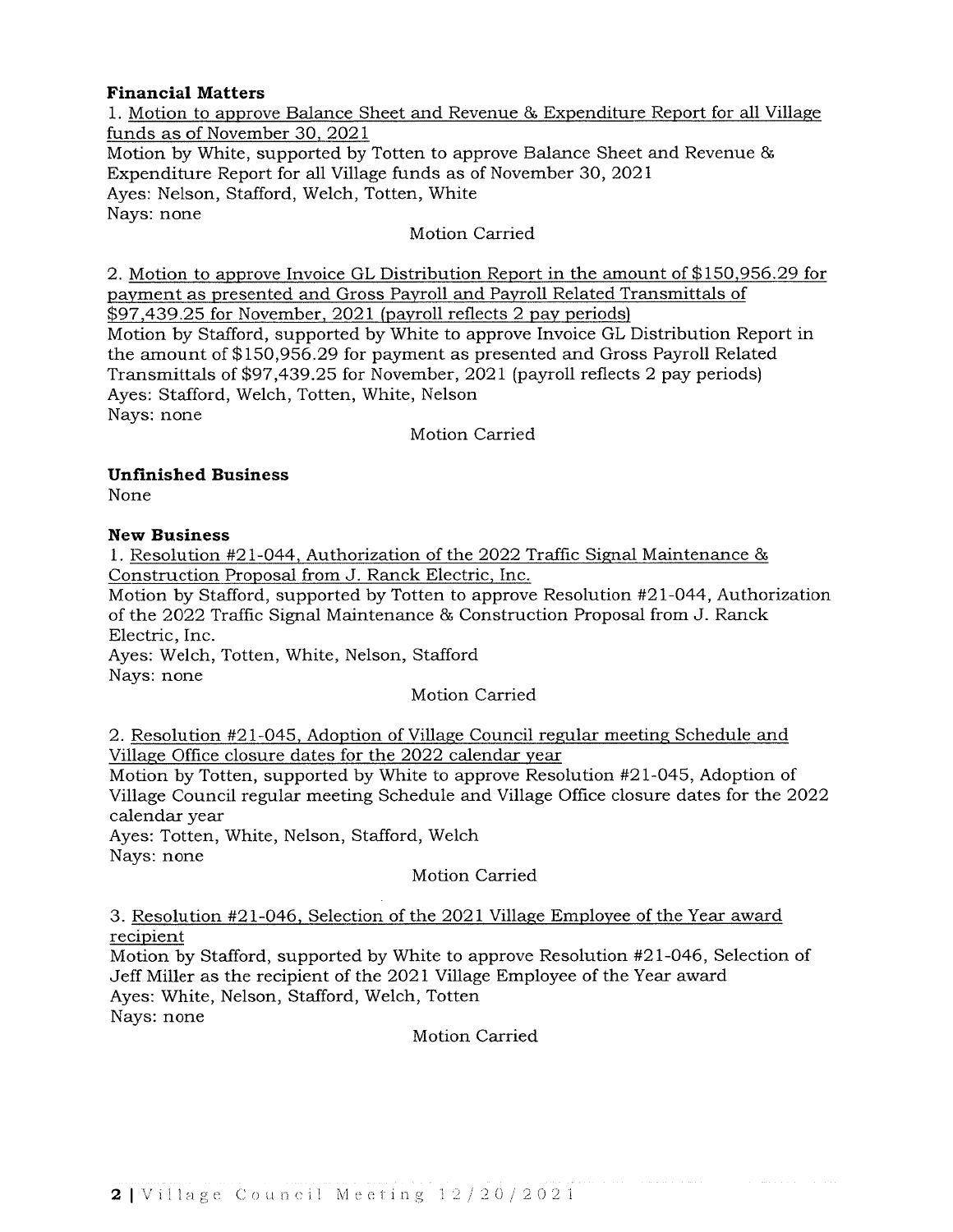## **Financial Matters**

1. Motion to approve Balance Sheet and Revenue & Expenditure Report for all Village funds as of November 30, 2021 Motion by White, supported by Totten to approve Balance Sheet and Revenue & Expenditure Report for all Village funds as of November 30, 2021 Ayes: Nelson, Stafford, Welch, Totten, White Nays: none

## Motion Carried

2. Motion to approve Invoice GL Distribution Report in the amount of \$150,956.29 for payment as presented and Gross Payroll and Payroll Related Transmittals of \$97,439.25 for November, 2021 (payroll reflects 2 pay periods) Motion by Stafford, supported by White to approve Invoice GL Distribution Report in the amount of \$150,956.29 for payment as presented and Gross Payroll Related Transmittals of \$97,439.25 for November, 2021 (payroll reflects 2 pay periods) Ayes: Stafford, Welch, Totten, White, Nelson Nays: none

Motion Carried

## **Unfinished Business**

None

## **New Business**

1. Resolution #21-044, Authorization of the 2022 Traffic Signal Maintenance & Construction Proposal from J. Ranck Electric, Inc.

Motion by Stafford, supported by Totten to approve Resolution #21-044, Authorization of the 2022 Traffic Signal Maintenance & Construction Proposal from J. Ranck Electric, Inc.

Ayes: Welch, Totten, White, Nelson, Stafford Nays: none

Motion Carried

2. Resolution #21-045, Adoption of Village Council regular meeting Schedule and Village Office closure dates for the 2022 calendar year

Motion by Totten, supported by White to approve Resolution #21-045, Adoption of Village Council regular meeting Schedule and Village Office closure dates for the 2022 calendar year

Ayes: Totten, White, Nelson, Stafford, Welch Nays: none

Motion Carried

3. Resolution #21-046, Selection of the 2021 Village Employee of the Year award recipient

Motion by Stafford, supported by White to approve Resolution #21-046, Selection of Jeff Miller as the recipient of the 2021 Village Employee of the Year award Ayes: White, Nelson, Stafford, Welch, Totten Nays: none

Motion Carried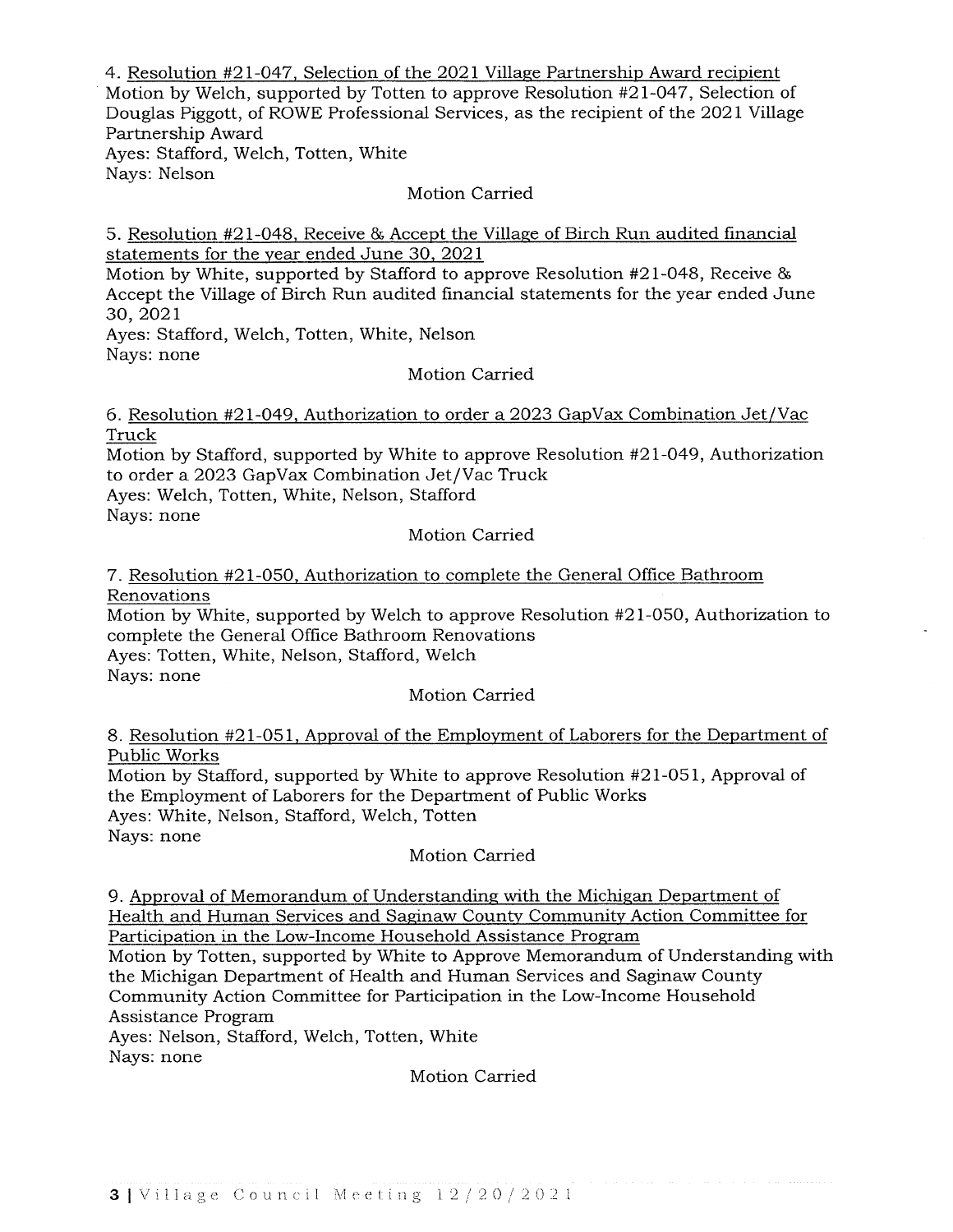4. Resolution #21-047, Selection of the 2021 Village Partnership Award recipient Motion by Welch, supported by Totten to approve Resolution #21-047, Selection of Douglas Piggott, of ROWE Professional Services, as the recipient of the 2021 Village Partnership Award Ayes: Stafford, Welch, Totten, White Nays: Nelson

Motion Carried

5. Resolution #21-048, Receive & Accept the Village of Birch Run audited financial statements for the year ended June 30, 2021

Motion by White, supported by Stafford to approve Resolution #21-048, Receive & Accept the Village of Birch Run audited financial statements for the year ended June 30,2021

Ayes: Stafford, Welch, Totten, White, Nelson Nays: none

Motion Carried

6. Resolution #21-049, Authorization to order a 2023 GapVax Combination Jet/Vac Truck

Motion by Stafford, supported by White to approve Resolution #21-049, Authorization to order a 2023 GapVax Combination Jet/Vac Truck

Ayes: Welch, Totten, White, Nelson, Stafford

Nays: none

Motion Carried

### 7. Resolution #21-050, Authorization to complete the General Office Bathroom Renovations

Motion by White, supported by Welch to approve Resolution #21-050, Authorization to complete the General Office Bathroom Renovations Ayes: Totten, White, Nelson, Stafford, Welch

Nays: none

Motion Carried

8. Resolution #21-051, Approval of the Employment of Laborers for the Department of Public Works

Motion by Stafford, supported by White to approve Resolution #21-051, Approval of the Employment of Laborers for the Department of Public Works Ayes: White, Nelson, Stafford, Welch, Totten Nays: none

## Motion Carried

9. Approval of Memorandum of Understanding with the Michigan Department of Health and Human Services and Saginaw County Community Action Committee for Participation in the Low-Income Household Assistance Program Motion by Totten, supported by White to Approve Memorandum of Understanding with

the Michigan Department of Health and Human Services and Saginaw County Community Action Committee for Participation in the Low-Income Household Assistance Program

Ayes: Nelson, Stafford, Welch, Totten, White Nays: none

Motion Carried